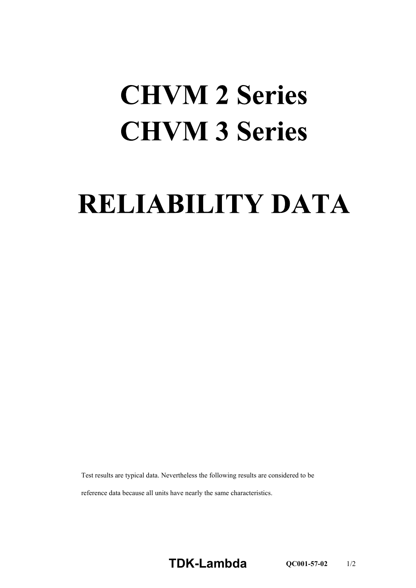## **CHVM 2 Series CHVM 3 Series**

## **RELIABILITY DATA**

Test results are typical data. Nevertheless the following results are considered to be

reference data because all units have nearly the same characteristics.

**TDK-Lambda QC001-57-02** 1/2